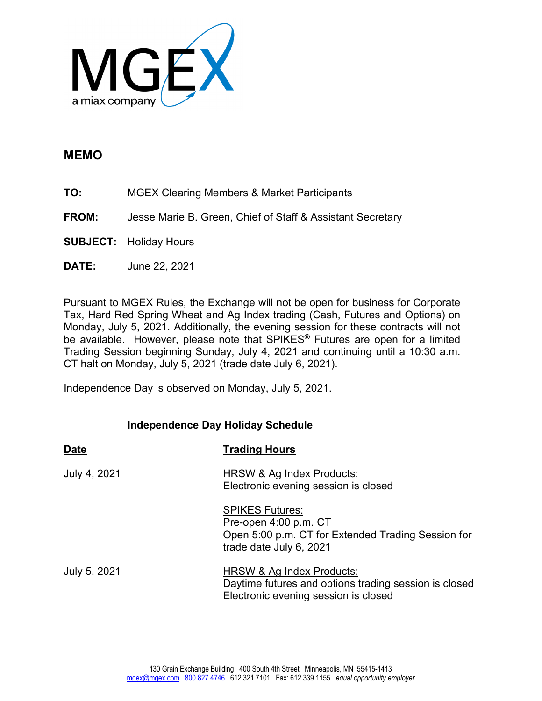

## **MEMO**

- **TO:** MGEX Clearing Members & Market Participants
- **FROM:** Jesse Marie B. Green, Chief of Staff & Assistant Secretary
- **SUBJECT:** Holiday Hours
- **DATE:** June 22, 2021

Pursuant to MGEX Rules, the Exchange will not be open for business for Corporate Tax, Hard Red Spring Wheat and Ag Index trading (Cash, Futures and Options) on Monday, July 5, 2021. Additionally, the evening session for these contracts will not be available. However, please note that SPIKES® Futures are open for a limited Trading Session beginning Sunday, July 4, 2021 and continuing until a 10:30 a.m. CT halt on Monday, July 5, 2021 (trade date July 6, 2021).

Independence Day is observed on Monday, July 5, 2021.

## **Independence Day Holiday Schedule**

| <b>Date</b>  | <b>Trading Hours</b>                                                                                                             |
|--------------|----------------------------------------------------------------------------------------------------------------------------------|
| July 4, 2021 | HRSW & Ag Index Products:<br>Electronic evening session is closed                                                                |
|              | <b>SPIKES Futures:</b><br>Pre-open 4:00 p.m. CT<br>Open 5:00 p.m. CT for Extended Trading Session for<br>trade date July 6, 2021 |
| July 5, 2021 | HRSW & Ag Index Products:<br>Daytime futures and options trading session is closed<br>Electronic evening session is closed       |